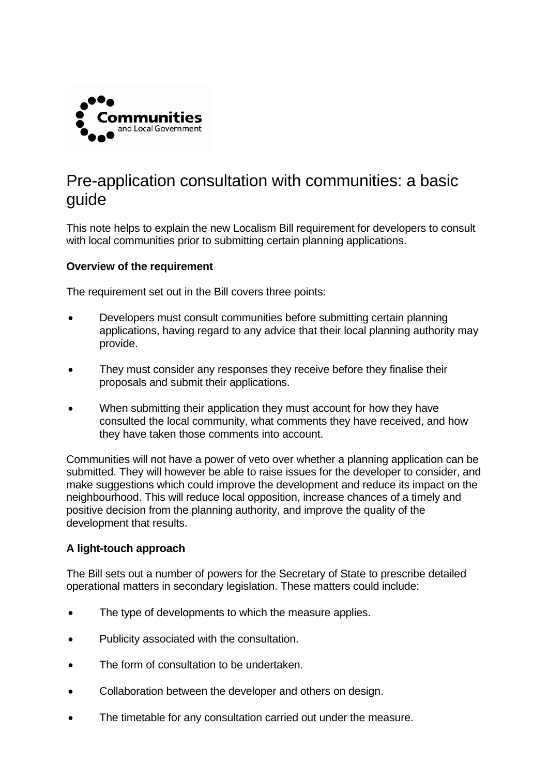

# Pre-application consultation with communities: a basic guide

This note helps to explain the new Localism Bill requirement for developers to consult with local communities prior to submitting certain planning applications.

#### **Overview of the requirement**

The requirement set out in the Bill covers three points:

- Developers must consult communities before submitting certain planning applications, having regard to any advice that their local planning authority may provide.
- They must consider any responses they receive before they finalise their proposals and submit their applications.
- When submitting their application they must account for how they have consulted the local community, what comments they have received, and how they have taken those comments into account.

Communities will not have a power of veto over whether a planning application can be submitted. They will however be able to raise issues for the developer to consider, and make suggestions which could improve the development and reduce its impact on the neighbourhood. This will reduce local opposition, increase chances of a timely and positive decision from the planning authority, and improve the quality of the development that results.

## **A light-touch approach**

The Bill sets out a number of powers for the Secretary of State to prescribe detailed operational matters in secondary legislation. These matters could include:

- The type of developments to which the measure applies.
- Publicity associated with the consultation.
- The form of consultation to be undertaken.
- Collaboration between the developer and others on design.
- The timetable for any consultation carried out under the measure.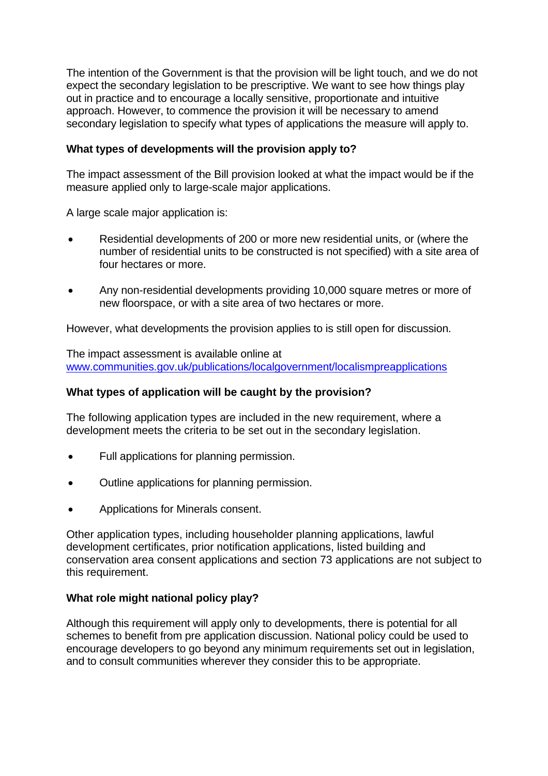The intention of the Government is that the provision will be light touch, and we do not expect the secondary legislation to be prescriptive. We want to see how things play out in practice and to encourage a locally sensitive, proportionate and intuitive approach. However, to commence the provision it will be necessary to amend secondary legislation to specify what types of applications the measure will apply to.

# **What types of developments will the provision apply to?**

The impact assessment of the Bill provision looked at what the impact would be if the measure applied only to large-scale major applications.

A large scale major application is:

- Residential developments of 200 or more new residential units, or (where the number of residential units to be constructed is not specified) with a site area of four hectares or more.
- Any non-residential developments providing 10,000 square metres or more of new floorspace, or with a site area of two hectares or more.

However, what developments the provision applies to is still open for discussion.

The impact assessment is available online at [www.communities.gov.uk/publications/localgovernment/localismpreapplications](http://www.communities.gov.uk/publications/localgovernment/localismpreapplications)

# **What types of application will be caught by the provision?**

The following application types are included in the new requirement, where a development meets the criteria to be set out in the secondary legislation.

- Full applications for planning permission.
- Outline applications for planning permission.
- Applications for Minerals consent.

Other application types, including householder planning applications, lawful development certificates, prior notification applications, listed building and conservation area consent applications and section 73 applications are not subject to this requirement.

## **What role might national policy play?**

Although this requirement will apply only to developments, there is potential for all schemes to benefit from pre application discussion. National policy could be used to encourage developers to go beyond any minimum requirements set out in legislation, and to consult communities wherever they consider this to be appropriate.